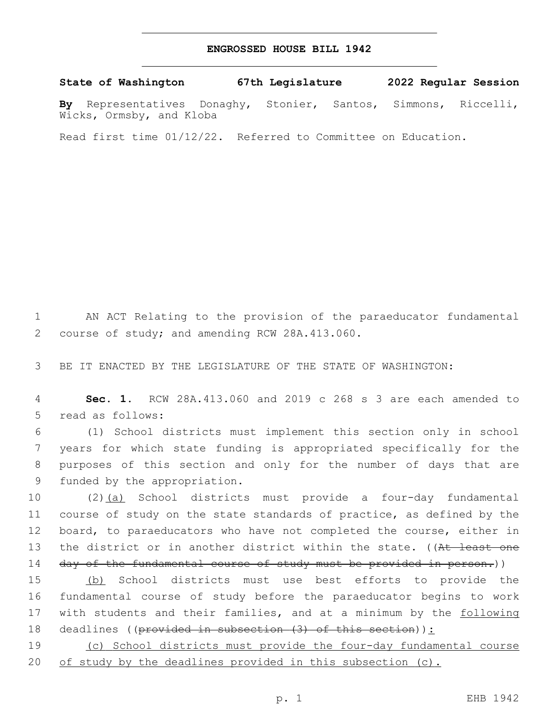## **ENGROSSED HOUSE BILL 1942**

**State of Washington 67th Legislature 2022 Regular Session**

**By** Representatives Donaghy, Stonier, Santos, Simmons, Riccelli, Wicks, Ormsby, and Kloba

Read first time 01/12/22. Referred to Committee on Education.

1 AN ACT Relating to the provision of the paraeducator fundamental 2 course of study; and amending RCW 28A.413.060.

3 BE IT ENACTED BY THE LEGISLATURE OF THE STATE OF WASHINGTON:

4 **Sec. 1.** RCW 28A.413.060 and 2019 c 268 s 3 are each amended to 5 read as follows:

 (1) School districts must implement this section only in school years for which state funding is appropriated specifically for the purposes of this section and only for the number of days that are 9 funded by the appropriation.

10 (2)(a) School districts must provide a four-day fundamental 11 course of study on the state standards of practice, as defined by the 12 board, to paraeducators who have not completed the course, either in 13 the district or in another district within the state. ((At least one 14 day of the fundamental course of study must be provided in person.))

15 (b) School districts must use best efforts to provide the 16 fundamental course of study before the paraeducator begins to work 17 with students and their families, and at a minimum by the following 18 deadlines ((provided in subsection (3) of this section)):

19 (c) School districts must provide the four-day fundamental course 20 of study by the deadlines provided in this subsection (c).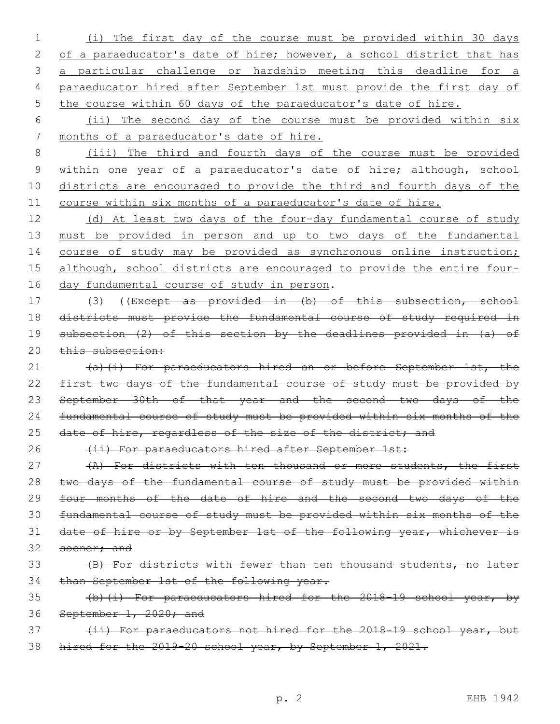- 1 (i) The first day of the course must be provided within 30 days 2 of a paraeducator's date of hire; however, a school district that has 3 a particular challenge or hardship meeting this deadline for a 4 paraeducator hired after September 1st must provide the first day of 5 the course within 60 days of the paraeducator's date of hire.
- 6 (ii) The second day of the course must be provided within six 7 months of a paraeducator's date of hire.

 (iii) The third and fourth days of the course must be provided 9 within one year of a paraeducator's date of hire; although, school districts are encouraged to provide the third and fourth days of the course within six months of a paraeducator's date of hire.

12 (d) At least two days of the four-day fundamental course of study 13 must be provided in person and up to two days of the fundamental 14 course of study may be provided as synchronous online instruction; 15 although, school districts are encouraged to provide the entire four-16 day fundamental course of study in person.

17 (3) ((Except as provided in (b) of this subsection, school 18 districts must provide the fundamental course of study required in 19 subsection (2) of this section by the deadlines provided in (a) of 20 this subsection:

21 (a)(i) For paraeducators hired on or before September 1st, the 22 first two days of the fundamental course of study must be provided by 23 September 30th of that year and the second two days of the 24 fundamental course of study must be provided within six months of the 25 date of hire, regardless of the size of the district; and

26 (ii) For paraeducators hired after September 1st:

27 (A) For districts with ten thousand or more students, the first 28 two days of the fundamental course of study must be provided within 29 four months of the date of hire and the second two days of the 30 fundamental course of study must be provided within six months of the 31 date of hire or by September 1st of the following year, whichever is 32 sooner; and

33 (B) For districts with fewer than ten thousand students, no later 34 than September 1st of the following year.

35 (b)(i) For paraeducators hired for the 2018-19 school year, by 36 September 1, 2020; and

37 (ii) For paraeducators not hired for the 2018-19 school year, but 38 hired for the 2019-20 school year, by September 1, 2021.